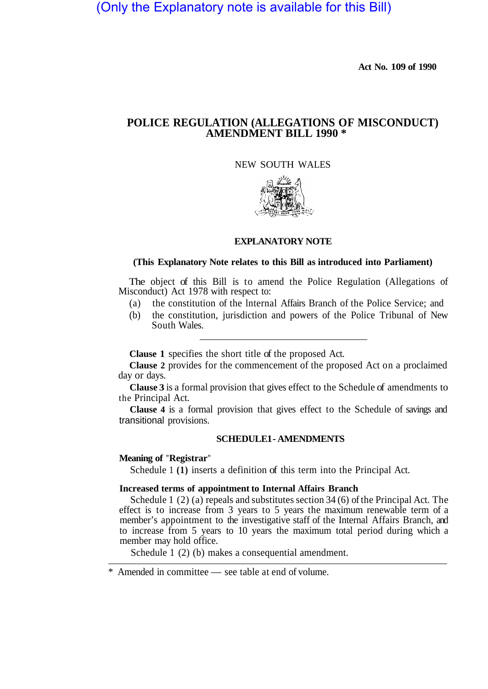# (Only the Explanatory note is available for this Bill)

**Act No. 109 of 1990** 

## **POLICE REGULATION (ALLEGATIONS OF MISCONDUCT) AMENDMENT BILL 1990 \***

## NEW SOUTH WALES



#### **EXPLANATORY NOTE**

#### **(This Explanatory Note relates to this Bill as introduced into Parliament)**

The object of this Bill is to amend the Police Regulation (Allegations of Misconduct) Act 1978 with respect to:

- (a) the constitution of the lnternal Affairs Branch of the Police Service; and
- (b) the constitution, jurisdiction and powers of the Police Tribunal of New South Wales.

**Clause 1** specifies the short title of the proposed Act.

**Clause 2** provides for the commencement of the proposed Act on a proclaimed day or days.

**Clause 3** is a formal provision that gives effect to the Schedule of amendments to the Principal Act.

**Clause 4** is a formal provision that gives effect to the Schedule of savings and transitional provisions.

## **SCHEDULE1 - AMENDMENTS**

#### **Meaning of "Registrar"**

Schedule 1 **(1)** inserts a definition of this term into the Principal Act.

#### **Increased terms of appointment to Internal Affairs Branch**

Schedule 1 (2) (a) repeals and substitutes section 34 (6) of the Principal Act. The effect is to increase from 3 years to 5 years the maximum renewable term of a member's appointment to the investigative staff of the Internal Affairs Branch, and to increase from 5 years to 10 years the maximum total period during which a member may hold office.

Schedule 1 (2) (b) makes a consequential amendment.

<sup>\*</sup> Amended in committee — see table at end of volume.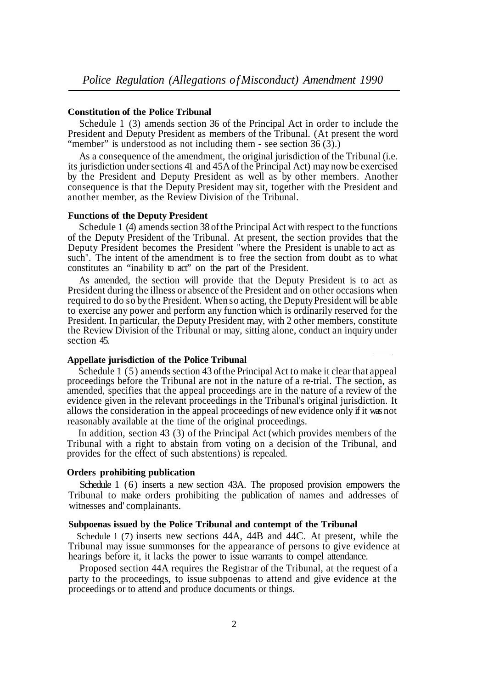#### **Constitution of the Police Tribunal**

Schedule 1 (3) amends section 36 of the Principal Act in order to include the President and Deputy President as members of the Tribunal. (At present the word "member" is understood as not including them - see section 36 (3).)

As a consequence of the amendment, the original jurisdiction of the Tribunal (i.e. its jurisdiction under sections 41 and 45A of the Principal Act) may now be exercised by the President and Deputy President as well as by other members. Another consequence is that the Deputy President may sit, together with the President and another member, as the Review Division of the Tribunal.

#### **Functions of the Deputy President**

Schedule 1 (4) amends section 38 of the Principal Act with respect to the functions of the Deputy President of the Tribunal. At present, the section provides that the Deputy President becomes the President "where the President is unable to act as such". The intent of the amendment is to free the section from doubt as to what constitutes an "inability to act" on the part of the President.

As amended, the section will provide that the Deputy President is to act as President during the illness or absence of the President and on other occasions when required to do so by the President. When so acting, the Deputy President will be able to exercise any power and perform any function which is ordinarily reserved for the President. In particular, the Deputy President may, with 2 other members, constitute the Review Division of the Tribunal or may, sitting alone, conduct an inquiry under section 45.

#### **Appellate jurisdiction of the Police Tribunal**

Schedule 1 (5) amends section 43 of the Principal Act to make it clear that appeal proceedings before the Tribunal are not in the nature of a re-trial. The section, as amended, specifies that the appeal proceedings are in the nature of a review of the evidence given in the relevant proceedings in the Tribunal's original jurisdiction. It allows the consideration in the appeal proceedings of new evidence only if it was not reasonably available at the time of the original proceedings.

In addition, section 43 (3) of the Principal Act (which provides members of the Tribunal with a right to abstain from voting on a decision of the Tribunal, and provides for the effect of such abstentions) is repealed.

#### **Orders prohibiting publication**

Schedule 1 (6) inserts a new section 43A. The proposed provision empowers the Tribunal to make orders prohibiting the publication of names and addresses of witnesses and' complainants.

### **Subpoenas issued by the Police Tribunal and contempt of the Tribunal**

Schedule 1 (7) inserts new sections 44A, 44B and 44C. At present, while the Tribunal may issue summonses for the appearance of persons to give evidence at hearings before it, it lacks the power to issue warrants to compel attendance.

Proposed section 44A requires the Registrar of the Tribunal, at the request of a party to the proceedings, to issue subpoenas to attend and give evidence at the proceedings or to attend and produce documents or things.